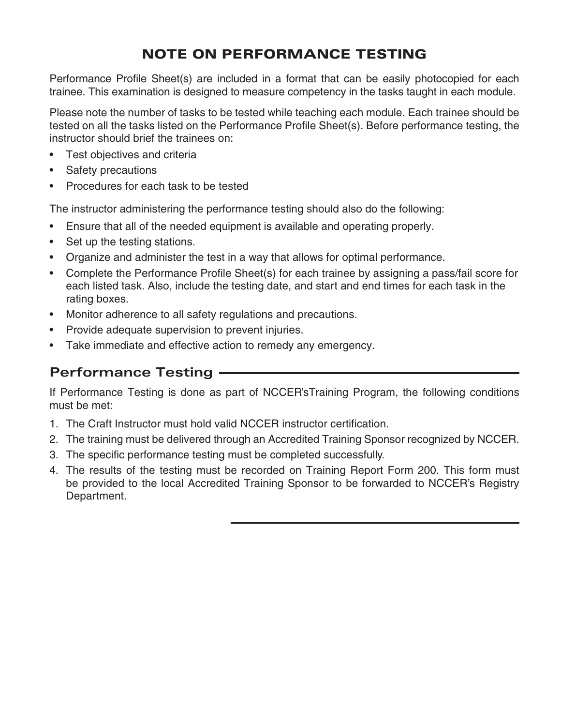## NOTE ON PERFORMANCE TESTING

Performance Profile Sheet(s) are included in a format that can be easily photocopied for each trainee. This examination is designed to measure competency in the tasks taught in each module.

Please note the number of tasks to be tested while teaching each module. Each trainee should be tested on all the tasks listed on the Performance Profile Sheet(s). Before performance testing, the instructor should brief the trainees on:

- Test objectives and criteria
- Safety precautions
- Procedures for each task to be tested

The instructor administering the performance testing should also do the following:

- Ensure that all of the needed equipment is available and operating properly.
- Set up the testing stations.
- Organize and administer the test in a way that allows for optimal performance.
- Complete the Performance Profile Sheet(s) for each trainee by assigning a pass/fail score for each listed task. Also, include the testing date, and start and end times for each task in the rating boxes.
- Monitor adherence to all safety regulations and precautions.
- Provide adequate supervision to prevent injuries.
- Take immediate and effective action to remedy any emergency.

### **Performance Testing**

If Performance Testing is done as part of NCCER'sTraining Program, the following conditions must be met:

- 1. The Craft Instructor must hold valid NCCER instructor certification.
- 2. The training must be delivered through an Accredited Training Sponsor recognized by NCCER.
- 3. The specific performance testing must be completed successfully.
- 4. The results of the testing must be recorded on Training Report Form 200. This form must be provided to the local Accredited Training Sponsor to be forwarded to NCCER's Registry Department.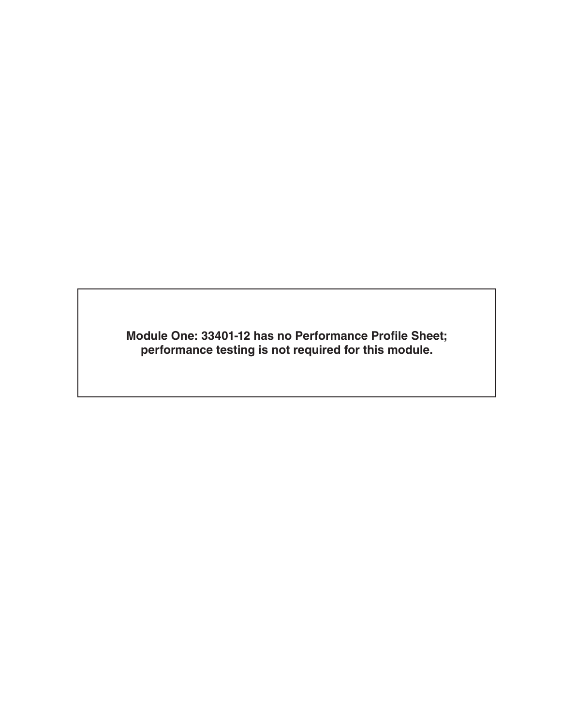**Module One: 33401-12 has no Performance Profile Sheet; performance testing is not required for this module.**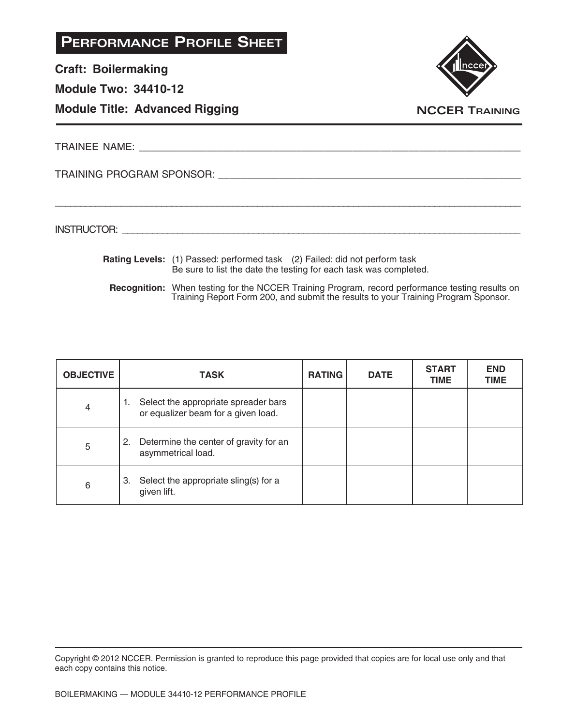**Craft: Boilermaking**

### **Module Two: 34410-12**

### **Module Title: Advanced Rigging**



TRAINEE NAME: **All and the set of the set of the set of the set of the set of the set of the set of the set of the set of the set of the set of the set of the set of the set of the set of the set of the set of the set of t** 

TRAINING PROGRAM SPONSOR: \_\_\_\_\_\_\_\_\_\_\_\_\_\_\_\_\_\_\_\_\_\_\_\_\_\_\_\_\_\_\_\_\_\_\_\_\_\_\_\_\_\_\_\_\_\_\_\_\_\_\_\_\_\_

INSTRUCTOR: with a set of the set of the set of the set of the set of the set of the set of the set of the set of the set of the set of the set of the set of the set of the set of the set of the set of the set of the set o

**Rating Levels:** (1) Passed: performed task (2) Failed: did not perform task Be sure to list the date the testing for each task was completed.

\_\_\_\_\_\_\_\_\_\_\_\_\_\_\_\_\_\_\_\_\_\_\_\_\_\_\_\_\_\_\_\_\_\_\_\_\_\_\_\_\_\_\_\_\_\_\_\_\_\_\_\_\_\_\_\_\_\_\_\_\_\_\_\_\_\_\_\_\_\_\_\_\_\_\_\_\_\_\_\_\_\_\_\_\_\_\_\_\_\_\_\_

**Recognition:** When testing for the NCCER Training Program, record performance testing results on Training Report Form 200, and submit the results to your Training Program Sponsor.

| <b>OBJECTIVE</b> | <b>TASK</b>                                                                       | <b>RATING</b> | <b>DATE</b> | <b>START</b><br><b>TIME</b> | <b>END</b><br><b>TIME</b> |
|------------------|-----------------------------------------------------------------------------------|---------------|-------------|-----------------------------|---------------------------|
| 4                | Select the appropriate spreader bars<br>1.<br>or equalizer beam for a given load. |               |             |                             |                           |
| 5                | 2. Determine the center of gravity for an<br>asymmetrical load.                   |               |             |                             |                           |
| 6                | 3. Select the appropriate sling(s) for a<br>given lift.                           |               |             |                             |                           |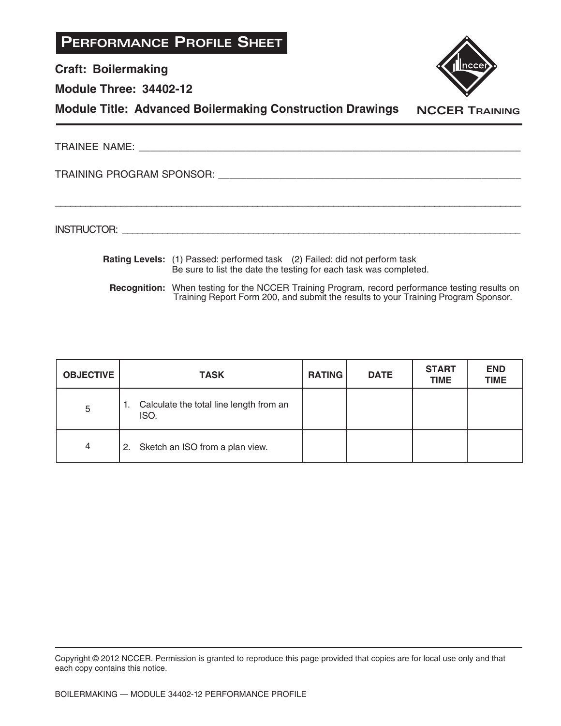**Craft: Boilermaking**

**Module Three: 34402-12**



**Module Title: Advanced Boilermaking Construction Drawings**

**NCCER TRAINING**

TRAINEE NAME: \_\_\_\_\_\_\_\_\_\_\_\_\_\_\_\_\_\_\_\_\_\_\_\_\_\_\_\_\_\_\_\_\_\_\_\_\_\_\_\_\_\_\_\_\_\_\_\_\_\_\_\_\_\_\_\_\_\_\_\_\_\_\_\_\_\_\_\_

\_\_\_\_\_\_\_\_\_\_\_\_\_\_\_\_\_\_\_\_\_\_\_\_\_\_\_\_\_\_\_\_\_\_\_\_\_\_\_\_\_\_\_\_\_\_\_\_\_\_\_\_\_\_\_\_\_\_\_\_\_\_\_\_\_\_\_\_\_\_\_\_\_\_\_\_\_\_\_\_\_\_\_\_\_\_\_\_\_\_\_\_

TRAINING PROGRAM SPONSOR: \_\_\_\_\_\_\_\_\_\_\_\_\_\_\_\_\_\_\_\_\_\_\_\_\_\_\_\_\_\_\_\_\_\_\_\_\_\_\_\_\_\_\_\_\_\_\_\_\_\_\_\_\_\_

INSTRUCTOR: with a set of the set of the set of the set of the set of the set of the set of the set of the set of the set of the set of the set of the set of the set of the set of the set of the set of the set of the set o

**Rating Levels:** (1) Passed: performed task (2) Failed: did not perform task Be sure to list the date the testing for each task was completed.

**Recognition:** When testing for the NCCER Training Program, record performance testing results on Training Report Form 200, and submit the results to your Training Program Sponsor.

| <b>OBJECTIVE</b> | <b>TASK</b>                                        | <b>RATING</b> | <b>DATE</b> | <b>START</b><br><b>TIME</b> | <b>END</b><br><b>TIME</b> |
|------------------|----------------------------------------------------|---------------|-------------|-----------------------------|---------------------------|
| 5                | 1. Calculate the total line length from an<br>ISO. |               |             |                             |                           |
| 4                | 2. Sketch an ISO from a plan view.                 |               |             |                             |                           |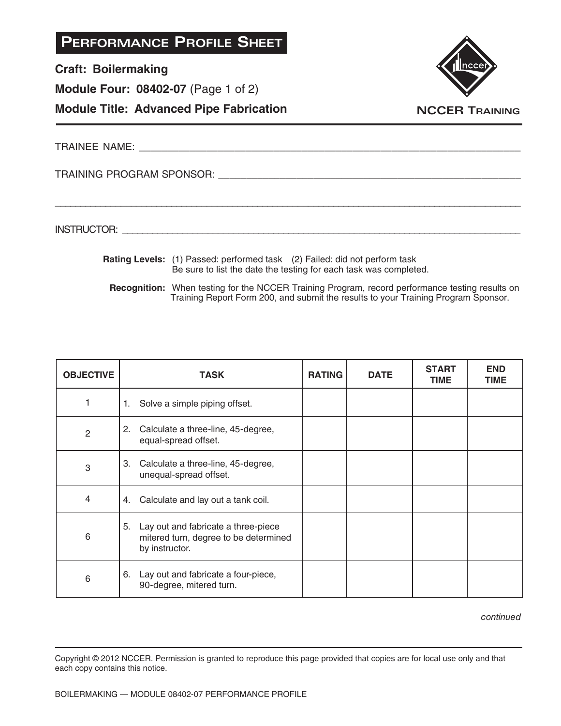**Craft: Boilermaking**

**Module Four: 08402-07** (Page 1 of 2)





TRAINEE NAME: **ANALER IN THE SET OF A SET OF A SET OF A SET OF A SET OF A SET OF A SET OF A SET OF A SET OF A SET OF A SET OF A SET OF A SET OF A SET OF A SET OF A SET OF A SET OF A SET OF A SET OF A SET OF A SET OF A SET** 

TRAINING PROGRAM SPONSOR: \_\_\_\_\_\_\_\_\_\_\_\_\_\_\_\_\_\_\_\_\_\_\_\_\_\_\_\_\_\_\_\_\_\_\_\_\_\_\_\_\_\_\_\_\_\_\_\_\_\_\_\_\_\_

INSTRUCTOR: with a set of the set of the set of the set of the set of the set of the set of the set of the set of the set of the set of the set of the set of the set of the set of the set of the set of the set of the set o

**Rating Levels:** (1) Passed: performed task (2) Failed: did not perform task Be sure to list the date the testing for each task was completed.

\_\_\_\_\_\_\_\_\_\_\_\_\_\_\_\_\_\_\_\_\_\_\_\_\_\_\_\_\_\_\_\_\_\_\_\_\_\_\_\_\_\_\_\_\_\_\_\_\_\_\_\_\_\_\_\_\_\_\_\_\_\_\_\_\_\_\_\_\_\_\_\_\_\_\_\_\_\_\_\_\_\_\_\_\_\_\_\_\_\_\_\_

**Recognition:** When testing for the NCCER Training Program, record performance testing results on Training Report Form 200, and submit the results to your Training Program Sponsor.

| <b>OBJECTIVE</b> | <b>TASK</b>                                                                                          | <b>RATING</b> | <b>DATE</b> | <b>START</b><br>TIME | <b>END</b><br>TIME |
|------------------|------------------------------------------------------------------------------------------------------|---------------|-------------|----------------------|--------------------|
|                  | Solve a simple piping offset.<br>1.                                                                  |               |             |                      |                    |
| $\overline{2}$   | 2.<br>Calculate a three-line, 45-degree,<br>equal-spread offset.                                     |               |             |                      |                    |
| 3                | 3.<br>Calculate a three-line, 45-degree,<br>unequal-spread offset.                                   |               |             |                      |                    |
| 4                | Calculate and lay out a tank coil.<br>4.                                                             |               |             |                      |                    |
| 6                | Lay out and fabricate a three-piece<br>5.<br>mitered turn, degree to be determined<br>by instructor. |               |             |                      |                    |
| 6                | 6. Lay out and fabricate a four-piece,<br>90-degree, mitered turn.                                   |               |             |                      |                    |

continued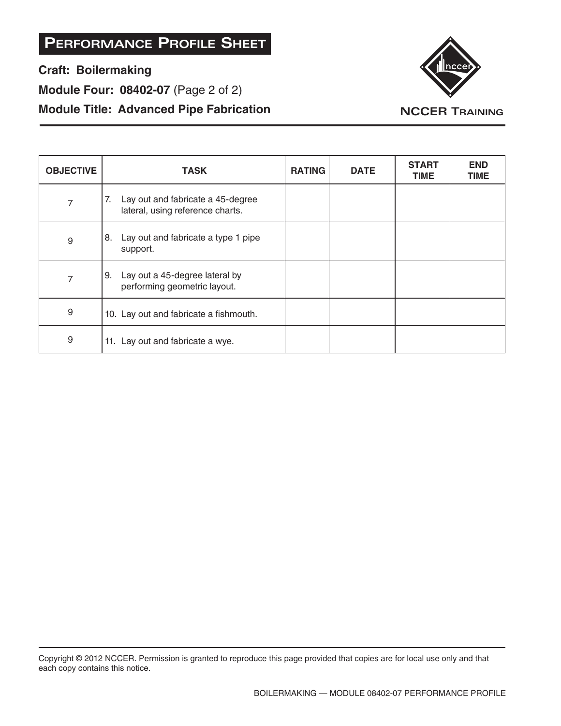**Craft: Boilermaking**

**Module Four: 08402-07** (Page 2 of 2)

### **Module Title: Advanced Pipe Fabrication**



| <b>OBJECTIVE</b> | <b>TASK</b>                                                                 | <b>RATING</b> | <b>DATE</b> | <b>START</b><br><b>TIME</b> | <b>END</b><br>TIME |
|------------------|-----------------------------------------------------------------------------|---------------|-------------|-----------------------------|--------------------|
| 7                | 7.<br>Lay out and fabricate a 45-degree<br>lateral, using reference charts. |               |             |                             |                    |
| 9                | Lay out and fabricate a type 1 pipe<br>8.<br>support.                       |               |             |                             |                    |
| 7                | Lay out a 45-degree lateral by<br>9.<br>performing geometric layout.        |               |             |                             |                    |
| 9                | 10. Lay out and fabricate a fishmouth.                                      |               |             |                             |                    |
| 9                | 11. Lay out and fabricate a wye.                                            |               |             |                             |                    |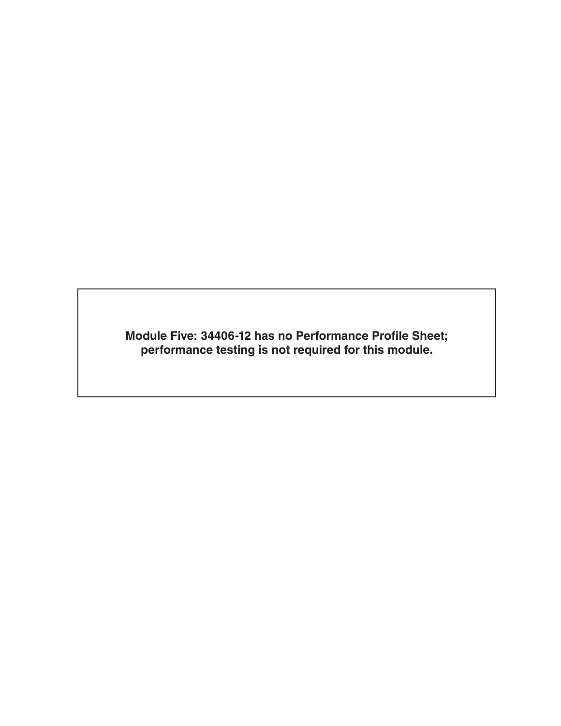**Module Five: 34406-12 has no Performance Profile Sheet; performance testing is not required for this module.**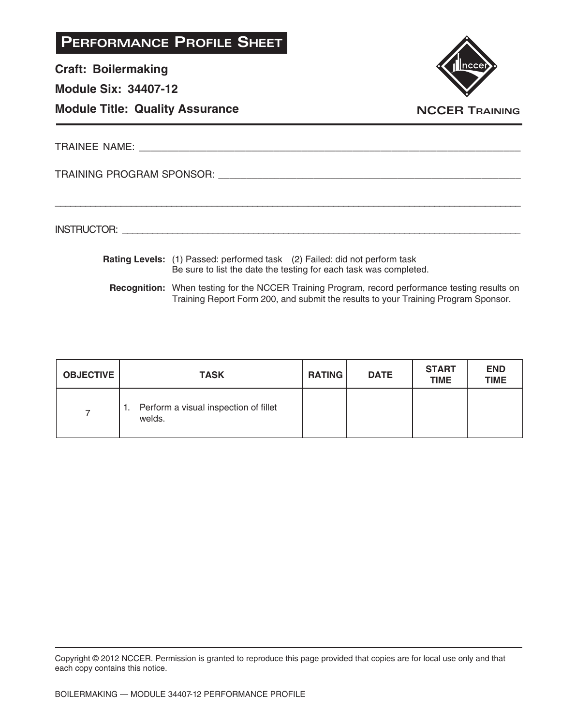**Craft: Boilermaking**

**Module Six: 34407-12**

### **Module Title: Quality Assurance**



TRAINEE NAME: **All and the set of the set of the set of the set of the set of the set of the set of the set of the set of the set of the set of the set of the set of the set of the set of the set of the set of the set of t** 

TRAINING PROGRAM SPONSOR: \_\_\_\_\_\_\_\_\_\_\_\_\_\_\_\_\_\_\_\_\_\_\_\_\_\_\_\_\_\_\_\_\_\_\_\_\_\_\_\_\_\_\_\_\_\_\_\_\_\_\_\_\_\_

INSTRUCTOR: with a set of the set of the set of the set of the set of the set of the set of the set of the set of the set of the set of the set of the set of the set of the set of the set of the set of the set of the set o

**Rating Levels:** (1) Passed: performed task (2) Failed: did not perform task Be sure to list the date the testing for each task was completed.

\_\_\_\_\_\_\_\_\_\_\_\_\_\_\_\_\_\_\_\_\_\_\_\_\_\_\_\_\_\_\_\_\_\_\_\_\_\_\_\_\_\_\_\_\_\_\_\_\_\_\_\_\_\_\_\_\_\_\_\_\_\_\_\_\_\_\_\_\_\_\_\_\_\_\_\_\_\_\_\_\_\_\_\_\_\_\_\_\_\_\_\_

**Recognition:** When testing for the NCCER Training Program, record performance testing results on Training Report Form 200, and submit the results to your Training Program Sponsor.

| <b>OBJECTIVE</b> | <b>TASK</b>                                           | <b>RATING</b> | <b>DATE</b> | <b>START</b><br><b>TIME</b> | <b>END</b><br><b>TIME</b> |
|------------------|-------------------------------------------------------|---------------|-------------|-----------------------------|---------------------------|
|                  | Perform a visual inspection of fillet<br>1.<br>welds. |               |             |                             |                           |

Copyright © 2012 NCCER. Permission is granted to reproduce this page provided that copies are for local use only and that each copy contains this notice.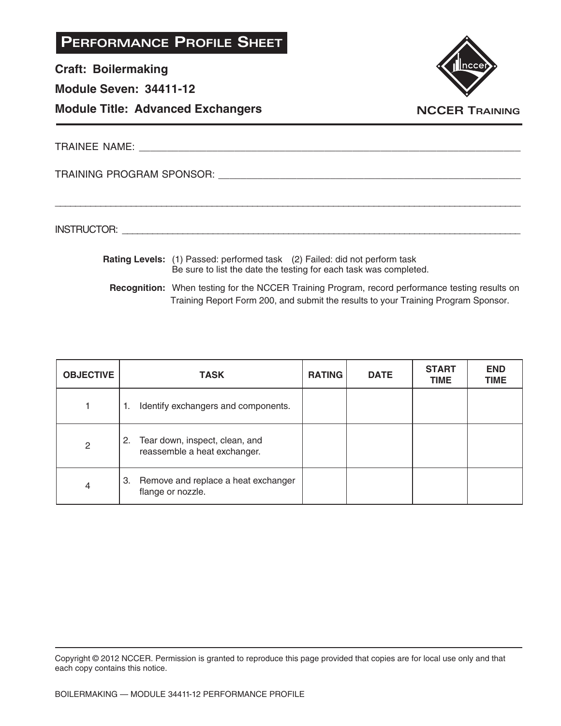**Craft: Boilermaking**

**Module Seven: 34411-12**

### **Module Title: Advanced Exchangers**



TRAINEE NAME: **All and the set of the set of the set of the set of the set of the set of the set of the set of the set of the set of the set of the set of the set of the set of the set of the set of the set of the set of t** 

TRAINING PROGRAM SPONSOR: \_\_\_\_\_\_\_\_\_\_\_\_\_\_\_\_\_\_\_\_\_\_\_\_\_\_\_\_\_\_\_\_\_\_\_\_\_\_\_\_\_\_\_\_\_\_\_\_\_\_\_\_\_\_

INSTRUCTOR: with a set of the set of the set of the set of the set of the set of the set of the set of the set of the set of the set of the set of the set of the set of the set of the set of the set of the set of the set o

**Rating Levels:** (1) Passed: performed task (2) Failed: did not perform task Be sure to list the date the testing for each task was completed.

\_\_\_\_\_\_\_\_\_\_\_\_\_\_\_\_\_\_\_\_\_\_\_\_\_\_\_\_\_\_\_\_\_\_\_\_\_\_\_\_\_\_\_\_\_\_\_\_\_\_\_\_\_\_\_\_\_\_\_\_\_\_\_\_\_\_\_\_\_\_\_\_\_\_\_\_\_\_\_\_\_\_\_\_\_\_\_\_\_\_\_\_

**Recognition:** When testing for the NCCER Training Program, record performance testing results on Training Report Form 200, and submit the results to your Training Program Sponsor.

| <b>OBJECTIVE</b> | <b>TASK</b>                                                          | <b>RATING</b> | <b>DATE</b> | <b>START</b><br><b>TIME</b> | <b>END</b><br><b>TIME</b> |
|------------------|----------------------------------------------------------------------|---------------|-------------|-----------------------------|---------------------------|
|                  | Identify exchangers and components.<br>٦.                            |               |             |                             |                           |
| $\mathbf{2}$     | Tear down, inspect, clean, and<br>2.<br>reassemble a heat exchanger. |               |             |                             |                           |
| 4                | 3. Remove and replace a heat exchanger<br>flange or nozzle.          |               |             |                             |                           |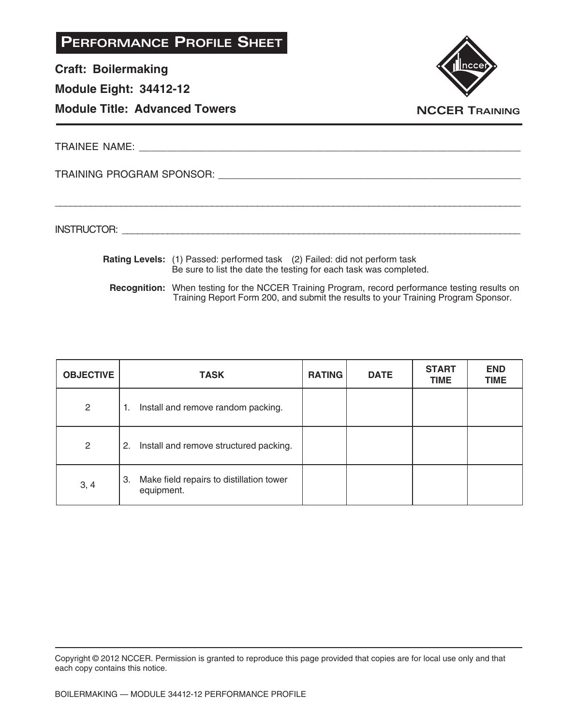**Craft: Boilermaking**

**Module Eight: 34412-12**

**Module Title: Advanced Towers**



TRAINEE NAME: \_\_\_\_\_\_\_\_\_\_\_\_\_\_\_\_\_\_\_\_\_\_\_\_\_\_\_\_\_\_\_\_\_\_\_\_\_\_\_\_\_\_\_\_\_\_\_\_\_\_\_\_\_\_\_\_\_\_\_\_\_\_\_\_\_\_\_\_

TRAINING PROGRAM SPONSOR: \_\_\_\_\_\_\_\_\_\_\_\_\_\_\_\_\_\_\_\_\_\_\_\_\_\_\_\_\_\_\_\_\_\_\_\_\_\_\_\_\_\_\_\_\_\_\_\_\_\_\_\_\_\_

INSTRUCTOR: with a set of the set of the set of the set of the set of the set of the set of the set of the set of the set of the set of the set of the set of the set of the set of the set of the set of the set of the set o

**Rating Levels:** (1) Passed: performed task (2) Failed: did not perform task Be sure to list the date the testing for each task was completed.

\_\_\_\_\_\_\_\_\_\_\_\_\_\_\_\_\_\_\_\_\_\_\_\_\_\_\_\_\_\_\_\_\_\_\_\_\_\_\_\_\_\_\_\_\_\_\_\_\_\_\_\_\_\_\_\_\_\_\_\_\_\_\_\_\_\_\_\_\_\_\_\_\_\_\_\_\_\_\_\_\_\_\_\_\_\_\_\_\_\_\_\_

**Recognition:** When testing for the NCCER Training Program, record performance testing results on Training Report Form 200, and submit the results to your Training Program Sponsor.

| <b>OBJECTIVE</b> | <b>TASK</b>                                                  | <b>RATING</b> | <b>DATE</b> | <b>START</b><br><b>TIME</b> | <b>END</b><br><b>TIME</b> |
|------------------|--------------------------------------------------------------|---------------|-------------|-----------------------------|---------------------------|
| $\overline{2}$   | Install and remove random packing.<br>1.                     |               |             |                             |                           |
| $\overline{2}$   | Install and remove structured packing.<br>2.                 |               |             |                             |                           |
| 3, 4             | Make field repairs to distillation tower<br>3.<br>equipment. |               |             |                             |                           |